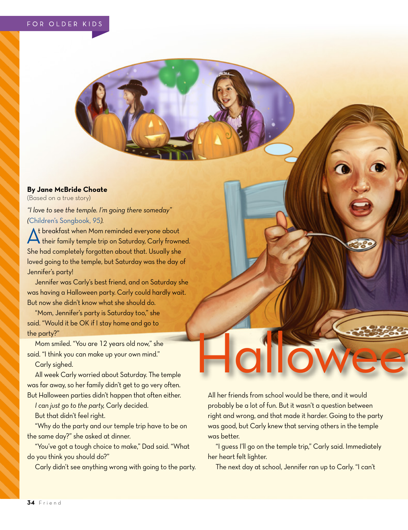## **By Jane McBride Choate**

(Based on a true story)

*"I love to see the temple. I'm going there someday" (*[Children's Songbook,](https://www.lds.org/music/library/childrens-songbook/i-love-to-see-the-temple?lang=eng) *95).*

At breakfast when Mom reminded everyone about<br>their family temple trip on Saturday, Carly frowned. She had completely forgotten about that. Usually she loved going to the temple, but Saturday was the day of Jennifer's party!

Jennifer was Carly's best friend, and on Saturday she was having a Halloween party. Carly could hardly wait. But now she didn't know what she should do.

"Mom, Jennifer's party is Saturday too," she said. "Would it be OK if I stay home and go to the party?"

Mom smiled. "You are 12 years old now," she said. "I think you can make up your own mind."

Carly sighed.

All week Carly worried about Saturday. The temple was far away, so her family didn't get to go very often. But Halloween parties didn't happen that often either.

*I can just go to the party,* Carly decided.

But that didn't feel right.

"Why do the party and our temple trip have to be on the same day?" she asked at dinner.

"You've got a tough choice to make," Dad said. "What do you think you should do?"

Carly didn't see anything wrong with going to the party.

All her friends from school would be there, and it would probably be a lot of fun. But it wasn't a question between right and wrong, and that made it harder. Going to the party was good, but Carly knew that serving others in the temple was better.

Hallowee

"I guess I'll go on the temple trip," Carly said. Immediately her heart felt lighter.

The next day at school, Jennifer ran up to Carly. "I can't